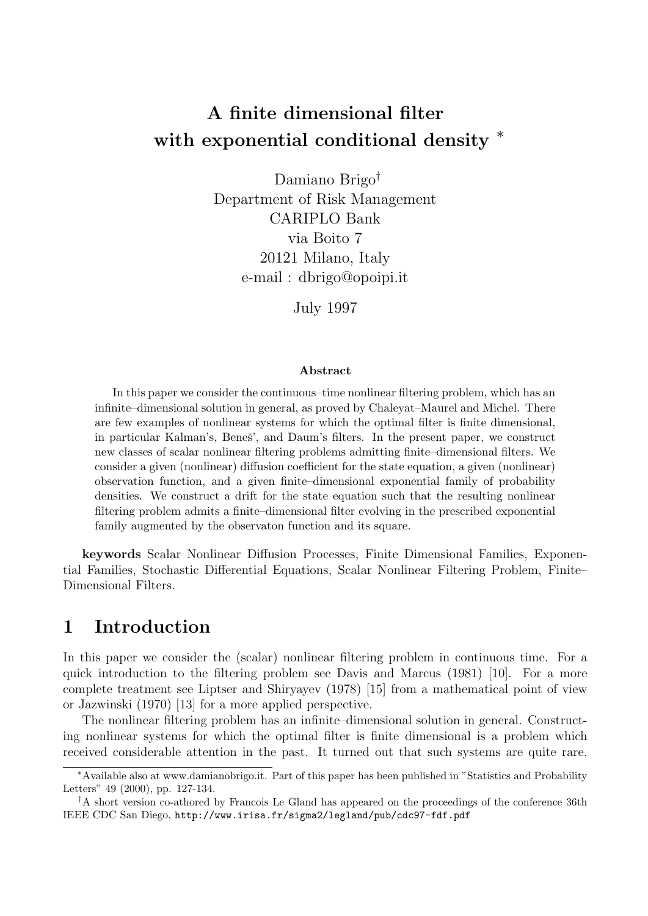# A finite dimensional filter with exponential conditional density  $*$

Damiano Brigo† Department of Risk Management CARIPLO Bank via Boito 7 20121 Milano, Italy e-mail : dbrigo@opoipi.it

July 1997

#### Abstract

In this paper we consider the continuous–time nonlinear filtering problem, which has an infinite–dimensional solution in general, as proved by Chaleyat–Maurel and Michel. There are few examples of nonlinear systems for which the optimal filter is finite dimensional, in particular Kalman's, Beneš', and Daum's filters. In the present paper, we construct new classes of scalar nonlinear filtering problems admitting finite–dimensional filters. We consider a given (nonlinear) diffusion coefficient for the state equation, a given (nonlinear) observation function, and a given finite–dimensional exponential family of probability densities. We construct a drift for the state equation such that the resulting nonlinear filtering problem admits a finite–dimensional filter evolving in the prescribed exponential family augmented by the observaton function and its square.

keywords Scalar Nonlinear Diffusion Processes, Finite Dimensional Families, Exponential Families, Stochastic Differential Equations, Scalar Nonlinear Filtering Problem, Finite– Dimensional Filters.

## 1 Introduction

In this paper we consider the (scalar) nonlinear filtering problem in continuous time. For a quick introduction to the filtering problem see Davis and Marcus (1981) [10]. For a more complete treatment see Liptser and Shiryayev (1978) [15] from a mathematical point of view or Jazwinski (1970) [13] for a more applied perspective.

The nonlinear filtering problem has an infinite–dimensional solution in general. Constructing nonlinear systems for which the optimal filter is finite dimensional is a problem which received considerable attention in the past. It turned out that such systems are quite rare.

<sup>∗</sup>Available also at www.damianobrigo.it. Part of this paper has been published in "Statistics and Probability Letters" 49 (2000), pp. 127-134.

<sup>†</sup>A short version co-athored by Francois Le Gland has appeared on the proceedings of the conference 36th IEEE CDC San Diego, http://www.irisa.fr/sigma2/legland/pub/cdc97-fdf.pdf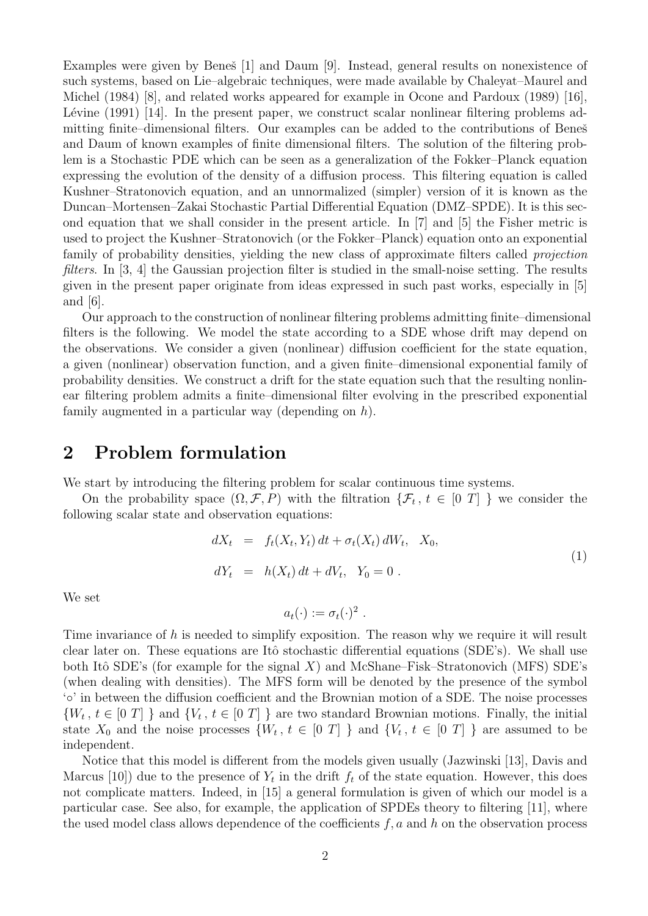Examples were given by Beneš [1] and Daum [9]. Instead, general results on nonexistence of such systems, based on Lie–algebraic techniques, were made available by Chaleyat–Maurel and Michel (1984) [8], and related works appeared for example in Ocone and Pardoux (1989) [16], Lévine  $(1991)$  [14]. In the present paper, we construct scalar nonlinear filtering problems admitting finite–dimensional filters. Our examples can be added to the contributions of Beneš and Daum of known examples of finite dimensional filters. The solution of the filtering problem is a Stochastic PDE which can be seen as a generalization of the Fokker–Planck equation expressing the evolution of the density of a diffusion process. This filtering equation is called Kushner–Stratonovich equation, and an unnormalized (simpler) version of it is known as the Duncan–Mortensen–Zakai Stochastic Partial Differential Equation (DMZ–SPDE). It is this second equation that we shall consider in the present article. In [7] and [5] the Fisher metric is used to project the Kushner–Stratonovich (or the Fokker–Planck) equation onto an exponential family of probability densities, yielding the new class of approximate filters called *projection* filters. In [3, 4] the Gaussian projection filter is studied in the small-noise setting. The results given in the present paper originate from ideas expressed in such past works, especially in [5] and [6].

Our approach to the construction of nonlinear filtering problems admitting finite–dimensional filters is the following. We model the state according to a SDE whose drift may depend on the observations. We consider a given (nonlinear) diffusion coefficient for the state equation, a given (nonlinear) observation function, and a given finite–dimensional exponential family of probability densities. We construct a drift for the state equation such that the resulting nonlinear filtering problem admits a finite–dimensional filter evolving in the prescribed exponential family augmented in a particular way (depending on  $h$ ).

### 2 Problem formulation

We start by introducing the filtering problem for scalar continuous time systems.

On the probability space  $(\Omega, \mathcal{F}, P)$  with the filtration  $\{\mathcal{F}_t, t \in [0, T]\}$  we consider the following scalar state and observation equations:

$$
dX_t = f_t(X_t, Y_t) dt + \sigma_t(X_t) dW_t, X_0,
$$
  
\n
$$
dY_t = h(X_t) dt + dV_t, Y_0 = 0.
$$
\n(1)

We set

$$
a_t(\cdot) := \sigma_t(\cdot)^2 \; .
$$

Time invariance of  $h$  is needed to simplify exposition. The reason why we require it will result clear later on. These equations are Itô stochastic differential equations (SDE's). We shall use both Itô SDE's (for example for the signal X) and McShane–Fisk–Stratonovich (MFS) SDE's (when dealing with densities). The MFS form will be denoted by the presence of the symbol '◦' in between the diffusion coefficient and the Brownian motion of a SDE. The noise processes  $\{W_t, t \in [0] \}$  and  $\{V_t, t \in [0] \}$  are two standard Brownian motions. Finally, the initial state  $X_0$  and the noise processes  $\{W_t, t \in [0, T] \}$  and  $\{V_t, t \in [0, T] \}$  are assumed to be independent.

Notice that this model is different from the models given usually (Jazwinski [13], Davis and Marcus [10]) due to the presence of  $Y_t$  in the drift  $f_t$  of the state equation. However, this does not complicate matters. Indeed, in [15] a general formulation is given of which our model is a particular case. See also, for example, the application of SPDEs theory to filtering [11], where the used model class allows dependence of the coefficients  $f, a$  and h on the observation process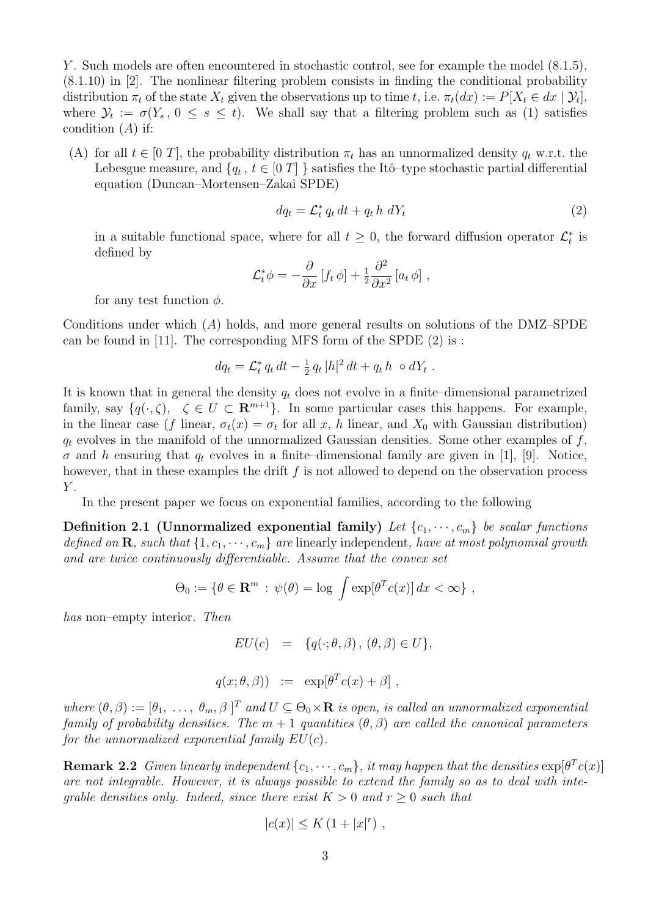Y. Such models are often encountered in stochastic control, see for example the model  $(8.1.5)$ , (8.1.10) in [2]. The nonlinear filtering problem consists in finding the conditional probability distribution  $\pi_t$  of the state  $X_t$  given the observations up to time t, i.e.  $\pi_t(dx) := P[X_t \in dx \mid \mathcal{Y}_t],$ where  $\mathcal{Y}_t := \sigma(Y_s, 0 \le s \le t)$ . We shall say that a filtering problem such as (1) satisfies condition  $(A)$  if:

(A) for all  $t \in [0 T]$ , the probability distribution  $\pi_t$  has an unnormalized density  $q_t$  w.r.t. the Lebesgue measure, and  $\{q_t, t \in [0] T\}$  satisfies the Itô-type stochastic partial differential equation (Duncan–Mortensen–Zakai SPDE)

$$
dq_t = \mathcal{L}_t^* q_t dt + q_t h dY_t \tag{2}
$$

in a suitable functional space, where for all  $t \geq 0$ , the forward diffusion operator  $\mathcal{L}_t^*$  is defined by

$$
\mathcal{L}_t^* \phi = -\frac{\partial}{\partial x} \left[ f_t \phi \right] + \frac{1}{2} \frac{\partial^2}{\partial x^2} \left[ a_t \phi \right] ,
$$

for any test function  $\phi$ .

Conditions under which  $(A)$  holds, and more general results on solutions of the DMZ–SPDE can be found in [11]. The corresponding MFS form of the SPDE (2) is :

$$
dq_t = \mathcal{L}_t^* q_t dt - \frac{1}{2} q_t |h|^2 dt + q_t h \circ dY_t.
$$

It is known that in general the density  $q_t$  does not evolve in a finite–dimensional parametrized family, say  $\{q(\cdot,\zeta), \zeta \in U \subset \mathbf{R}^{m+1}\}\$ . In some particular cases this happens. For example, in the linear case (f linear,  $\sigma_t(x) = \sigma_t$  for all x, h linear, and  $X_0$  with Gaussian distribution)  $q_t$  evolves in the manifold of the unnormalized Gaussian densities. Some other examples of  $f$ ,  $\sigma$  and h ensuring that  $q_t$  evolves in a finite–dimensional family are given in [1], [9]. Notice, however, that in these examples the drift  $f$  is not allowed to depend on the observation process  $Y$ .

In the present paper we focus on exponential families, according to the following

**Definition 2.1 (Unnormalized exponential family)** Let  $\{c_1, \dots, c_m\}$  be scalar functions defined on **R**, such that  $\{1, c_1, \dots, c_m\}$  are linearly independent, have at most polynomial growth and are twice continuously differentiable. Assume that the convex set

$$
\Theta_0 := \{ \theta \in \mathbf{R}^m : \psi(\theta) = \log \int \exp[\theta^T c(x)] dx < \infty \},
$$

has non–empty interior. Then

$$
EU(c) = \{q(\cdot; \theta, \beta), (\theta, \beta) \in U\},\
$$

$$
q(x; \theta, \beta) \quad := \quad \exp[\theta^T c(x) + \beta] \ ,
$$

where  $(\theta, \beta) := [\theta_1, \ldots, \theta_m, \beta]^T$  and  $U \subseteq \Theta_0 \times \mathbf{R}$  is open, is called an unnormalized exponential family of probability densities. The  $m + 1$  quantities  $(\theta, \beta)$  are called the canonical parameters for the unnormalized exponential family  $EU(c)$ .

**Remark 2.2** Given linearly independent  $\{c_1, \dots, c_m\}$ , it may happen that the densities  $\exp[\theta^T c(x)]$ are not integrable. However, it is always possible to extend the family so as to deal with inteqrable densities only. Indeed, since there exist  $K > 0$  and  $r > 0$  such that

$$
|c(x)| \le K\left(1+|x|^r\right) \,,
$$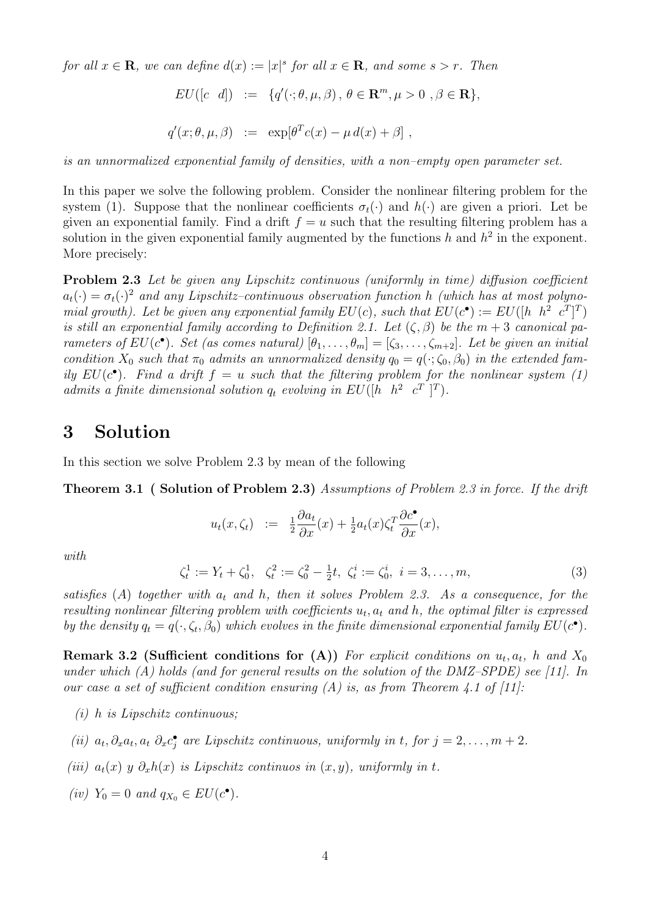for all  $x \in \mathbf{R}$ , we can define  $d(x) := |x|^s$  for all  $x \in \mathbf{R}$ , and some  $s > r$ . Then

$$
EU([c \ d]) := \ \{q'(\cdot;\theta,\mu,\beta) \, , \, \theta \in \mathbf{R}^m, \mu > 0 \, , \beta \in \mathbf{R} \},
$$

$$
q'(x; \theta, \mu, \beta) \quad := \quad \exp[\theta^T c(x) - \mu \, d(x) + \beta] \ ,
$$

is an unnormalized exponential family of densities, with a non–empty open parameter set.

In this paper we solve the following problem. Consider the nonlinear filtering problem for the system (1). Suppose that the nonlinear coefficients  $\sigma_t(\cdot)$  and  $h(\cdot)$  are given a priori. Let be given an exponential family. Find a drift  $f = u$  such that the resulting filtering problem has a solution in the given exponential family augmented by the functions h and  $h^2$  in the exponent. More precisely:

Problem 2.3 Let be given any Lipschitz continuous (uniformly in time) diffusion coefficient  $a_t(\cdot) = \sigma_t(\cdot)^2$  and any Lipschitz-continuous observation function h (which has at most polynomial growth). Let be given any exponential family  $EU(c)$ , such that  $EU(c^{\bullet}) := EU([h \ \ h^2 \ \ c^T]^T)$ is still an exponential family according to Definition 2.1. Let  $(\zeta, \beta)$  be the  $m + 3$  canonical parameters of  $EU(c^{\bullet})$ . Set (as comes natural)  $[\theta_1, \ldots, \theta_m] = [\zeta_3, \ldots, \zeta_{m+2}]$ . Let be given an initial condition  $X_0$  such that  $\pi_0$  admits an unnormalized density  $q_0 = q(\cdot; \zeta_0, \beta_0)$  in the extended family  $EU(c^{\bullet})$ . Find a drift  $f = u$  such that the filtering problem for the nonlinear system (1) admits a finite dimensional solution  $q_t$  evolving in  $EU([h \ \ h^2 \ \ c^T]^T)$ .

### 3 Solution

In this section we solve Problem 2.3 by mean of the following

Theorem 3.1 ( Solution of Problem 2.3) Assumptions of Problem 2.3 in force. If the drift

$$
u_t(x,\zeta_t) := \frac{1}{2} \frac{\partial a_t}{\partial x}(x) + \frac{1}{2} a_t(x) \zeta_t^T \frac{\partial c^{\bullet}}{\partial x}(x),
$$

with

$$
\zeta_t^1 := Y_t + \zeta_0^1, \quad \zeta_t^2 := \zeta_0^2 - \frac{1}{2}t, \quad \zeta_t^i := \zeta_0^i, \quad i = 3, \dots, m,
$$
\n(3)

satisfies (A) together with  $a_t$  and h, then it solves Problem 2.3. As a consequence, for the resulting nonlinear filtering problem with coefficients  $u_t$ ,  $a_t$  and h, the optimal filter is expressed by the density  $q_t = q(\cdot, \zeta_t, \beta_0)$  which evolves in the finite dimensional exponential family  $EU(c^{\bullet})$ .

**Remark 3.2 (Sufficient conditions for (A))** For explicit conditions on  $u_t$ ,  $a_t$ , h and  $X_0$ under which  $(A)$  holds (and for general results on the solution of the DMZ–SPDE) see [11]. In our case a set of sufficient condition ensuring  $(A)$  is, as from Theorem 4.1 of [11]:

- (i) h is Lipschitz continuous;
- (ii)  $a_t, \partial_x a_t, a_t, \partial_x c_j^*$  are Lipschitz continuous, uniformly in t, for  $j = 2, \ldots, m + 2$ .
- (iii)  $a_t(x)$  y  $\partial_x h(x)$  is Lipschitz continuos in  $(x, y)$ , uniformly in t.
- (iv)  $Y_0 = 0$  and  $q_{X_0} \in EU(c^{\bullet}).$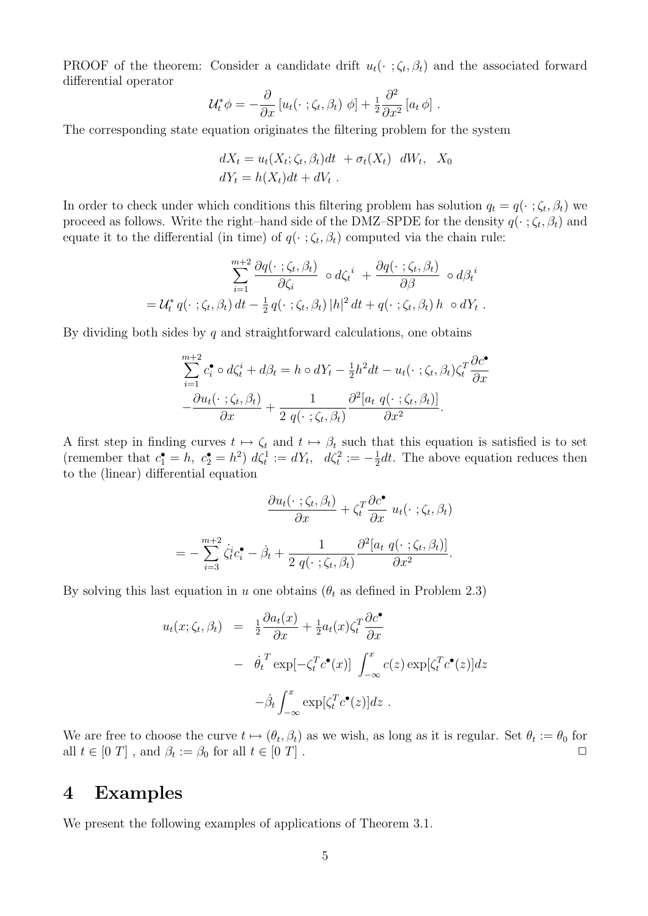PROOF of the theorem: Consider a candidate drift  $u_t(\cdot;\zeta_t,\beta_t)$  and the associated forward differential operator

$$
\mathcal{U}_t^* \phi = -\frac{\partial}{\partial x} \left[ u_t(\cdot \; ; \zeta_t, \beta_t) \; \phi \right] + \frac{1}{2} \frac{\partial^2}{\partial x^2} \left[ a_t \; \phi \right] \, .
$$

The corresponding state equation originates the filtering problem for the system

$$
dX_t = u_t(X_t; \zeta_t, \beta_t)dt + \sigma_t(X_t) dW_t, X_0
$$
  

$$
dY_t = h(X_t)dt + dV_t.
$$

In order to check under which conditions this filtering problem has solution  $q_t = q(\cdot; \zeta_t, \beta_t)$  we proceed as follows. Write the right–hand side of the DMZ–SPDE for the density  $q(\cdot;\zeta_t,\beta_t)$  and equate it to the differential (in time) of  $q(\cdot;\zeta_t,\beta_t)$  computed via the chain rule:

$$
\sum_{i=1}^{m+2} \frac{\partial q(\cdot \; ; \zeta_t, \beta_t)}{\partial \zeta_i} \circ d\zeta_t^i + \frac{\partial q(\cdot \; ; \zeta_t, \beta_t)}{\partial \beta} \circ d\beta_t^i
$$
  
=  $\mathcal{U}_t^* q(\cdot \; ; \zeta_t, \beta_t) dt - \frac{1}{2} q(\cdot \; ; \zeta_t, \beta_t) |h|^2 dt + q(\cdot \; ; \zeta_t, \beta_t) h \circ dY_t.$ 

By dividing both sides by  $q$  and straightforward calculations, one obtains

$$
\sum_{i=1}^{m+2} c_i^{\bullet} \circ d\zeta_t^i + d\beta_t = h \circ dY_t - \frac{1}{2}h^2 dt - u_t(\cdot \; ; \zeta_t, \beta_t) \zeta_t^T \frac{\partial c^{\bullet}}{\partial x}
$$

$$
-\frac{\partial u_t(\cdot \; ; \zeta_t, \beta_t)}{\partial x} + \frac{1}{2 \; q(\cdot \; ; \zeta_t, \beta_t)} \frac{\partial^2 [a_t \; q(\cdot \; ; \zeta_t, \beta_t)]}{\partial x^2}.
$$

A first step in finding curves  $t \mapsto \zeta_t$  and  $t \mapsto \beta_t$  such that this equation is satisfied is to set (remember that  $c_1^{\bullet} = h$ ,  $c_2^{\bullet} = h^2$ )  $d\zeta_t^1 := dY_t$ ,  $d\zeta_t^2 := -\frac{1}{2}$  $\frac{1}{2}dt$ . The above equation reduces then to the (linear) differential equation

$$
\frac{\partial u_t(\cdot \; ; \zeta_t, \beta_t)}{\partial x} + \zeta_t^T \frac{\partial c^{\bullet}}{\partial x} u_t(\cdot \; ; \zeta_t, \beta_t)
$$
\n
$$
= -\sum_{i=3}^{m+2} \zeta_t^i c_i^{\bullet} - \beta_t + \frac{1}{2 q(\cdot \; ; \zeta_t, \beta_t)} \frac{\partial^2 [a_t \; q(\cdot \; ; \zeta_t, \beta_t)]}{\partial x^2}.
$$

By solving this last equation in u one obtains ( $\theta_t$  as defined in Problem 2.3)

$$
u_t(x; \zeta_t, \beta_t) = \frac{1}{2} \frac{\partial a_t(x)}{\partial x} + \frac{1}{2} a_t(x) \zeta_t^T \frac{\partial c^{\bullet}}{\partial x}
$$

$$
- \dot{\theta_t}^T \exp[-\zeta_t^T c^{\bullet}(x)] \int_{-\infty}^x c(z) \exp[\zeta_t^T c^{\bullet}(z)] dz
$$

$$
- \dot{\beta_t} \int_{-\infty}^x \exp[\zeta_t^T c^{\bullet}(z)] dz.
$$

We are free to choose the curve  $t \mapsto (\theta_t, \beta_t)$  as we wish, as long as it is regular. Set  $\theta_t := \theta_0$  for all  $t \in [0 T]$ , and  $\beta_t := \beta_0$  for all  $t \in [0 T]$ .

### 4 Examples

We present the following examples of applications of Theorem 3.1.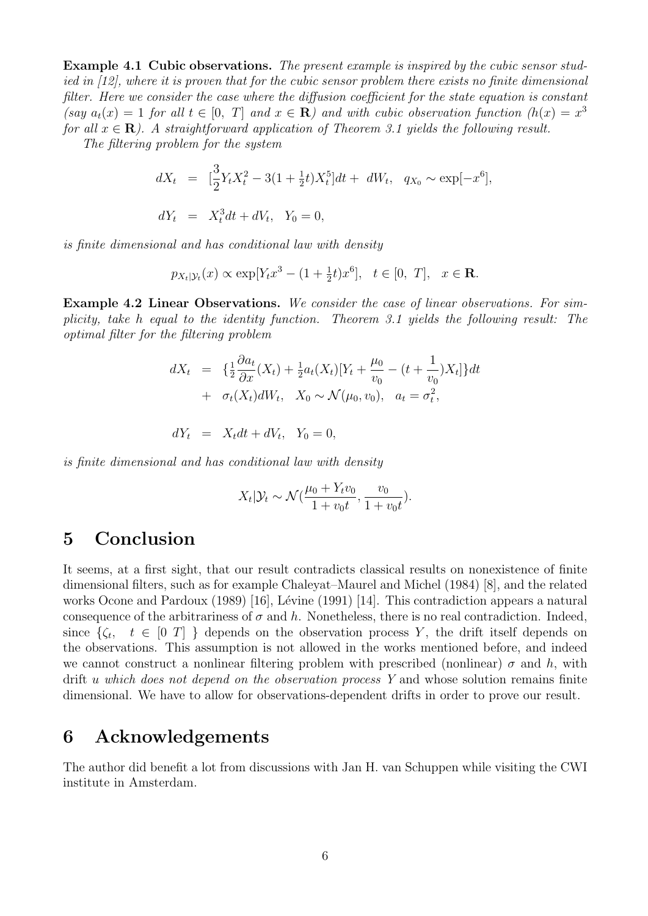Example 4.1 Cubic observations. The present example is inspired by the cubic sensor studied in [12], where it is proven that for the cubic sensor problem there exists no finite dimensional filter. Here we consider the case where the diffusion coefficient for the state equation is constant (say  $a_t(x) = 1$  for all  $t \in [0, T]$  and  $x \in \mathbb{R}$ ) and with cubic observation function  $(h(x) = x^3)$ for all  $x \in \mathbf{R}$ ). A straightforward application of Theorem 3.1 yields the following result.

The filtering problem for the system

$$
dX_t = \left[\frac{3}{2}Y_tX_t^2 - 3(1 + \frac{1}{2}t)X_t^5\right]dt + dW_t, \quad q_{X_0} \sim \exp[-x^6],
$$
  

$$
dY_t = X_t^3dt + dV_t, \quad Y_0 = 0,
$$

is finite dimensional and has conditional law with density

$$
p_{X_t|\mathcal{Y}_t}(x) \propto \exp[Y_t x^3 - (1 + \frac{1}{2}t)x^6], \quad t \in [0, T], \quad x \in \mathbf{R}.
$$

Example 4.2 Linear Observations. We consider the case of linear observations. For simplicity, take h equal to the identity function. Theorem 3.1 yields the following result: The optimal filter for the filtering problem

$$
dX_t = \{\frac{1}{2}\frac{\partial a_t}{\partial x}(X_t) + \frac{1}{2}a_t(X_t)[Y_t + \frac{\mu_0}{v_0} - (t + \frac{1}{v_0})X_t]\}dt + \sigma_t(X_t)dW_t, X_0 \sim \mathcal{N}(\mu_0, v_0), a_t = \sigma_t^2,
$$

$$
dY_t = X_t dt + dV_t, \quad Y_0 = 0,
$$

is finite dimensional and has conditional law with density

$$
X_t|\mathcal{Y}_t \sim \mathcal{N}(\frac{\mu_0 + Y_t v_0}{1 + v_0 t}, \frac{v_0}{1 + v_0 t}).
$$

## 5 Conclusion

It seems, at a first sight, that our result contradicts classical results on nonexistence of finite dimensional filters, such as for example Chaleyat–Maurel and Michel (1984) [8], and the related works Ocone and Pardoux  $(1989)$  [16], Lévine (1991) [14]. This contradiction appears a natural consequence of the arbitrariness of  $\sigma$  and h. Nonetheless, there is no real contradiction. Indeed, since  $\{\zeta_t, t \in [0 T] \}$  depends on the observation process Y, the drift itself depends on the observations. This assumption is not allowed in the works mentioned before, and indeed we cannot construct a nonlinear filtering problem with prescribed (nonlinear)  $\sigma$  and h, with drift u which does not depend on the observation process Y and whose solution remains finite dimensional. We have to allow for observations-dependent drifts in order to prove our result.

### 6 Acknowledgements

The author did benefit a lot from discussions with Jan H. van Schuppen while visiting the CWI institute in Amsterdam.